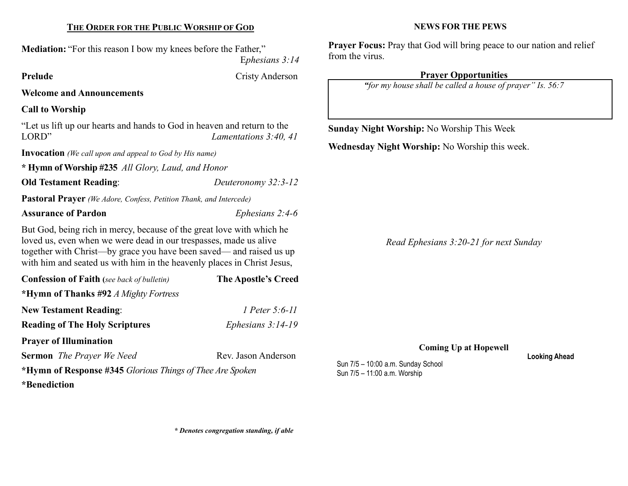#### THE ORDER FOR THE PUBLIC WORSHIP OF GOD

Mediation: "For this reason I bow my knees before the Father,"

Ephesians 3:14

Prelude Cristy Anderson

Welcome and Announcements

# Call to Worship

"Let us lift up our hearts and hands to God in heaven and return to the LORD" Lamentations 3:40, 41

Invocation (We call upon and appeal to God by His name)

\* Hymn of Worship #235 All Glory, Laud, and Honor

Old Testament Reading: Deuteronomy 32:3-12

Pastoral Prayer (We Adore, Confess, Petition Thank, and Intercede)

Assurance of Pardon Ephesians 2:4-6

But God, being rich in mercy, because of the great love with which he loved us, even when we were dead in our trespasses, made us alive together with Christ—by grace you have been saved— and raised us up with him and seated us with him in the heavenly places in Christ Jesus,

| <b>Confession of Faith</b> (see back of bulletin)         | <b>The Apostle's Creed</b> |  |
|-----------------------------------------------------------|----------------------------|--|
| *Hymn of Thanks #92 A Mighty Fortress                     |                            |  |
| <b>New Testament Reading:</b>                             | 1 Peter 5:6-11             |  |
| <b>Reading of The Holy Scriptures</b>                     | Ephesians $3:14-19$        |  |
| <b>Prayer of Illumination</b>                             |                            |  |
| <b>Sermon</b> The Prayer We Need                          | Rev. Jason Anderson        |  |
| *Hymn of Response #345 Glorious Things of Thee Are Spoken |                            |  |
| *Benediction                                              |                            |  |

Prayer Focus: Pray that God will bring peace to our nation and relief from the virus.

## Prayer Opportunities

NEWS FOR THE PEWS

"for my house shall be called a house of prayer" Is. 56:7

Sunday Night Worship: No Worship This Week

Wednesday Night Worship: No Worship this week.

Read Ephesians 3:20-21 for next Sunday

Coming Up at Hopewell

Sun 7/5 – 10:00 a.m. Sunday School Sun 7/5 – 11:00 a.m. Worship

Looking Ahead

\* Denotes congregation standing, if able